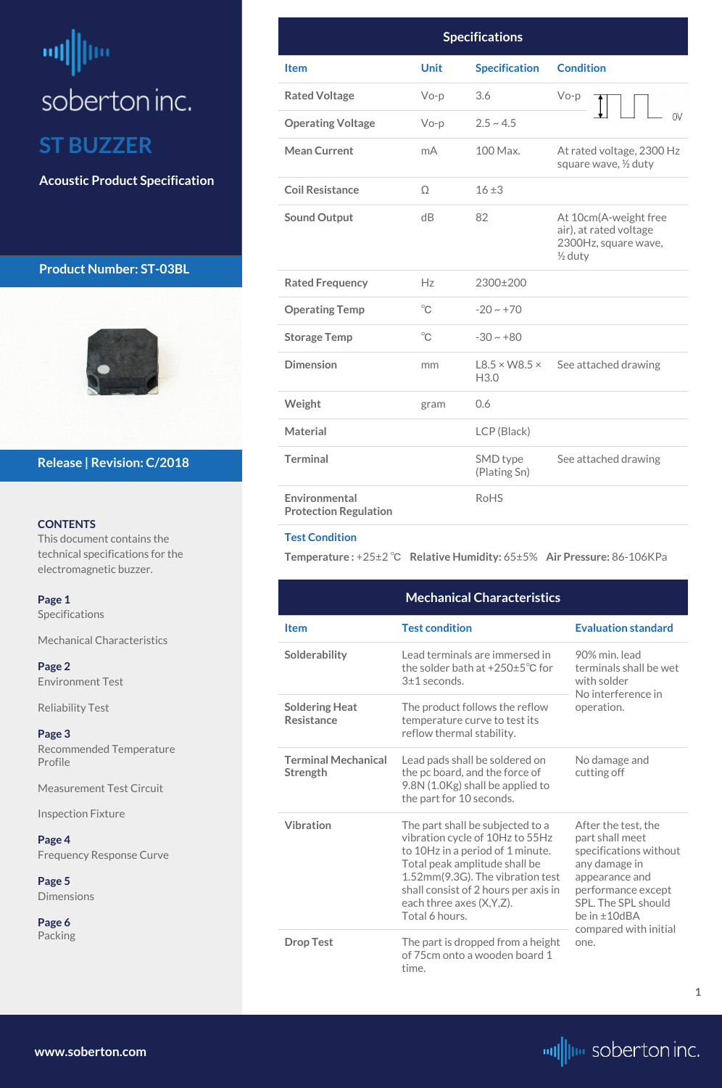# <span id="page-0-0"></span>빼빠 soberton inc. **ST BUZZER**

**Acoustic Product Specification**

# **Product Number: ST-03BL**



### **CONTENTS**

This document contains the technical specifications for the electromagnetic buzzer.

# **Release | Revision: C/2018**

**[www.soberton.com](http://www.soberton.com)**



**1**

| <b>Specifications</b>                         |              |                                   |                                                                                               |  |  |
|-----------------------------------------------|--------------|-----------------------------------|-----------------------------------------------------------------------------------------------|--|--|
| <b>Item</b>                                   | <b>Unit</b>  | <b>Specification</b>              | <b>Condition</b>                                                                              |  |  |
| <b>Rated Voltage</b>                          | $Vo-p$       | 3.6                               | $Vo-p$                                                                                        |  |  |
| <b>Operating Voltage</b>                      | $Vo-p$       | $2.5 \sim 4.5$                    | 0V                                                                                            |  |  |
| <b>Mean Current</b>                           | mA           | 100 Max.                          | At rated voltage, 2300 Hz<br>square wave, 1/2 duty                                            |  |  |
| <b>Coil Resistance</b>                        | $\Omega$     | $16 \pm 3$                        |                                                                                               |  |  |
| <b>Sound Output</b>                           | dB           | 82                                | At 10cm(A-weight free<br>air), at rated voltage<br>2300Hz, square wave,<br>$\frac{1}{2}$ duty |  |  |
| <b>Rated Frequency</b>                        | Hz           | 2300±200                          |                                                                                               |  |  |
| <b>Operating Temp</b>                         | $^{\circ}C$  | $-20 \sim +70$                    |                                                                                               |  |  |
| <b>Storage Temp</b>                           | $^{\circ}$ C | $-30 \sim +80$                    |                                                                                               |  |  |
| <b>Dimension</b>                              | mm           | $L8.5 \times W8.5 \times$<br>H3.0 | See attached drawing                                                                          |  |  |
| Weight                                        | gram         | 0.6                               |                                                                                               |  |  |
| <b>Material</b>                               |              | LCP (Black)                       |                                                                                               |  |  |
| <b>Terminal</b>                               |              | SMD type<br>(Plating Sn)          | See attached drawing                                                                          |  |  |
| Environmental<br><b>Protection Regulation</b> |              | <b>RoHS</b>                       |                                                                                               |  |  |

### **Test Condition**

**Temperature :** +25±2 ℃ **Relative Humidity:** 65±5% **Air Pressure:** 86-106KPa

| Page 1                                    | <b>Mechanical Characteristics</b>          |                                                                                  |                                           |  |
|-------------------------------------------|--------------------------------------------|----------------------------------------------------------------------------------|-------------------------------------------|--|
| Specifications                            | <b>Item</b>                                | <b>Test condition</b>                                                            | <b>Evaluation standard</b>                |  |
| <b>Mechanical Characteristics</b>         |                                            |                                                                                  |                                           |  |
| Page 2                                    | Solderability                              | Lead terminals are immersed in<br>the solder bath at $+250\pm5\textdegree C$ for | 90% min. lead<br>terminals shall be wet   |  |
| <b>Environment Test</b>                   |                                            | 3±1 seconds.                                                                     | with solder<br>No interference in         |  |
| <b>Reliability Test</b>                   | <b>Soldering Heat</b><br><b>Resistance</b> | The product follows the reflow<br>temperature curve to test its                  | operation.                                |  |
| Page 3                                    |                                            | reflow thermal stability.                                                        |                                           |  |
| <b>Recommended Temperature</b><br>Profile | <b>Terminal Mechanical</b><br>Strength     | Lead pads shall be soldered on<br>the pc board, and the force of                 | No damage and<br>cutting off              |  |
| <b>Measurement Test Circuit</b>           |                                            | 9.8N (1.0Kg) shall be applied to<br>the part for 10 seconds.                     |                                           |  |
| <b>Inspection Fixture</b>                 | <b>Vibration</b>                           | The part shall be subjected to a                                                 | After the test, the                       |  |
| Page 4                                    |                                            | vibration cycle of 10Hz to 55Hz                                                  | part shall meet                           |  |
| <b>Frequency Response Curve</b>           |                                            | to 10Hz in a period of 1 minute.<br>Total peak amplitude shall be                | specifications without<br>any damage in   |  |
| Page 5                                    |                                            | 1.52mm(9.3G). The vibration test                                                 | appearance and                            |  |
| <b>Dimensions</b>                         |                                            | shall consist of 2 hours per axis in<br>each three axes (X, Y, Z).               | performance except<br>SPL. The SPL should |  |
| Page 6                                    |                                            | Total 6 hours.                                                                   | be in ±10dBA                              |  |
| Packing                                   | <b>Drop Test</b>                           | The part is dropped from a height<br>of 75cm onto a wooden board 1<br>time.      | compared with initial<br>one.             |  |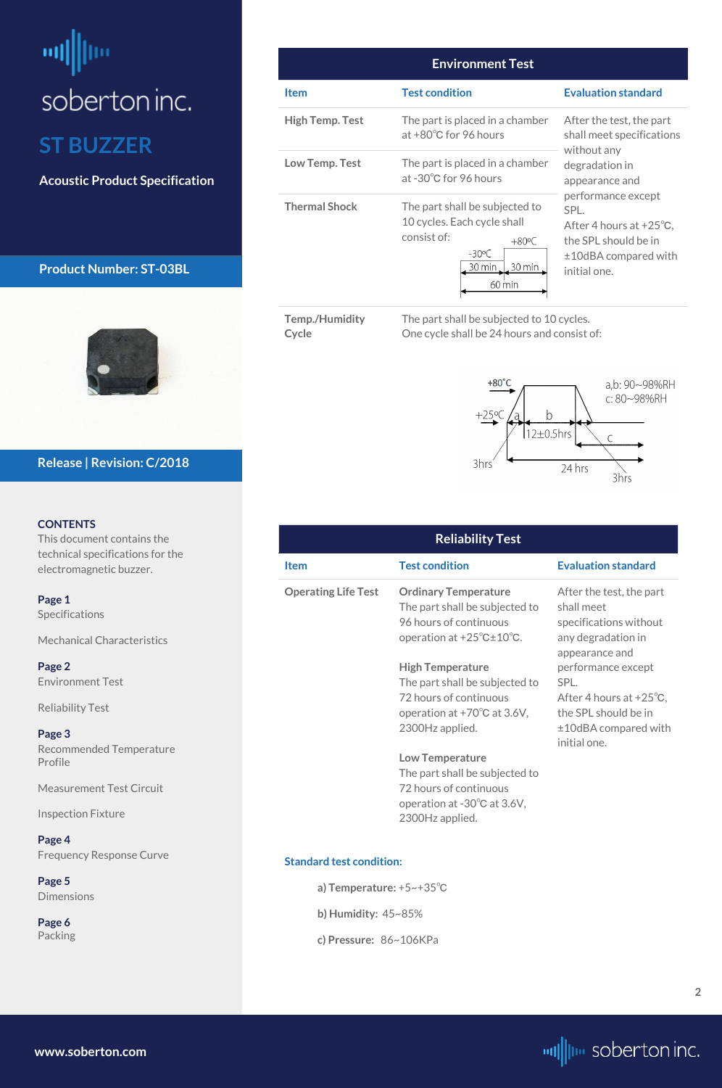# <span id="page-1-0"></span>ᆒ soberton inc. **ST BUZZER**

**Acoustic Product Specification**

# **Product Number: ST-03BL**



### **CONTENTS**

This document contains the technical specifications for the electromagnetic buzzer.

**[Page 1](#page-0-0)** [Specifications](#page-0-0) 

**[Page](#page-4-0) 5 [Dimensions](#page-4-0)** 

[Mechanical Characteristics](#page-0-0)

**Page 2** Environment Test

Reliability Test

**[Page 3](#page-2-0)** [Recommended Temperature](#page-2-0)  [Profile](#page-2-0)

[Measurement Test Circuit](#page-2-0)

[Inspection Fixture](#page-2-0)

**[Page 4](#page-3-0)** [Frequency Response Curve](#page-3-0)

**[Page](#page-5-0) 6** [Packing](#page-5-0)

### **Release | Revision: C/2018**



| <b>Environment Test</b> |                                                                                                                                                  |                                                                                                                                                                                       |  |  |
|-------------------------|--------------------------------------------------------------------------------------------------------------------------------------------------|---------------------------------------------------------------------------------------------------------------------------------------------------------------------------------------|--|--|
| <b>Item</b>             | <b>Test condition</b>                                                                                                                            | <b>Evaluation standard</b>                                                                                                                                                            |  |  |
| <b>High Temp. Test</b>  | The part is placed in a chamber<br>at $+80^{\circ}$ C for 96 hours                                                                               | After the test, the part<br>shall meet specifications                                                                                                                                 |  |  |
| Low Temp. Test          | The part is placed in a chamber<br>at -30°C for 96 hours                                                                                         | without any<br>degradation in<br>appearance and<br>performance except<br>SPL.<br>After 4 hours at $+25^{\circ}$ C.<br>the SPL should be in<br>$±10$ dBA compared with<br>initial one. |  |  |
| <b>Thermal Shock</b>    | The part shall be subjected to<br>10 cycles. Each cycle shall<br>consist of:<br>$+80^{\circ}$ C<br>$-30^{\circ}$ C<br>30 min<br>30 min<br>60 min |                                                                                                                                                                                       |  |  |

**Cycle**

**Temp./Humidity**  The part shall be subjected to 10 cycles. One cycle shall be 24 hours and consist of:



| <b>Reliability Test</b>    |                                                                                                                                                                                                                                                                                      |                                                                                                                                                                                                                                                |  |  |  |
|----------------------------|--------------------------------------------------------------------------------------------------------------------------------------------------------------------------------------------------------------------------------------------------------------------------------------|------------------------------------------------------------------------------------------------------------------------------------------------------------------------------------------------------------------------------------------------|--|--|--|
| <b>Item</b>                | <b>Test condition</b>                                                                                                                                                                                                                                                                | <b>Evaluation standard</b>                                                                                                                                                                                                                     |  |  |  |
| <b>Operating Life Test</b> | <b>Ordinary Temperature</b><br>The part shall be subjected to<br>96 hours of continuous<br>operation at $+25^{\circ}$ C $\pm 10^{\circ}$ C.<br><b>High Temperature</b><br>The part shall be subjected to<br>72 hours of continuous<br>operation at +70°C at 3.6V,<br>2300Hz applied. | After the test, the part<br>shall meet<br>specifications without<br>any degradation in<br>appearance and<br>performance except<br>SPL.<br>After 4 hours at $+25^{\circ}$ C,<br>the SPL should be in<br>$±10$ dBA compared with<br>initial one. |  |  |  |
|                            | <b>Low Temperature</b><br>The part shall be subjected to<br>72 hours of continuous<br>operation at $-30^{\circ}$ C at 3.6V,                                                                                                                                                          |                                                                                                                                                                                                                                                |  |  |  |

# 2300Hz applied.

#### **Standard test condition:**

**a) Temperature:** +5~+35℃

**b) Humidity:** 45~85%

**c) Pressure:** 86~106KPa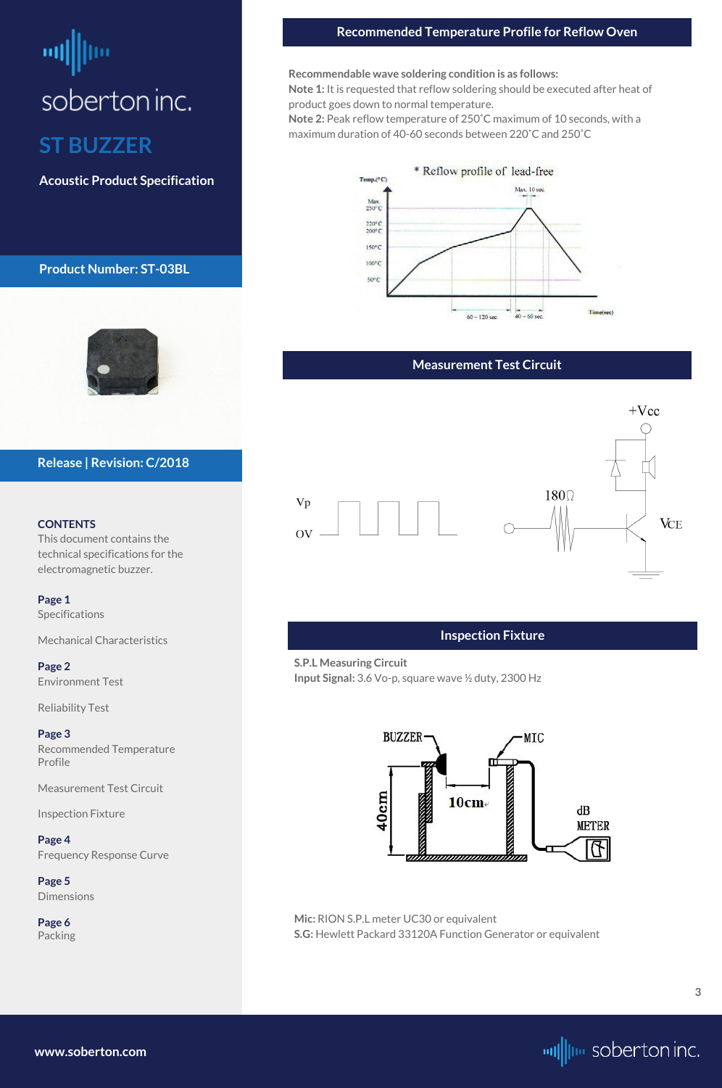# <span id="page-2-0"></span>soberton inc. **ST BUZZER**

**Acoustic Product Specification**

# **Product Number: ST-03BL**



### **CONTENTS**

This document contains the technical specifications for the electromagnetic buzzer.

**[Page 1](#page-0-0)** [Specifications](#page-0-0) 

**[Page](#page-4-0) 5 [Dimensions](#page-4-0)** 

[Mechanical Characteristics](#page-0-0)

**[Page 2](#page-1-0)** [Environment Test](#page-1-0)

[Reliability Test](#page-1-0)

**Page 3** Recommended Temperature Profile

Measurement Test Circuit

Inspection Fixture

**[Page 4](#page-3-0)** [Frequency Response Curve](#page-3-0)

**[Page](#page-5-0) 6** [Packing](#page-5-0)

### **Release | Revision: C/2018**

### **Measurement Test Circuit**



**[www.soberton.com](http://www.soberton.com)**



### **Recommended Temperature Profile for Reflow Oven**

**Recommendable wave soldering condition is as follows:**

**Note 1:** It is requested that reflow soldering should be executed after heat of product goes down to normal temperature.

**Note 2:** Peak reflow temperature of 250˚C maximum of 10 seconds, with a maximum duration of 40-60 seconds between 220˚C and 250˚C



### **Inspection Fixture**

**S.P.L Measuring Circuit Input Signal:** 3.6 Vo-p, square wave ½ duty, 2300 Hz



**Mic:** RION S.P.L meter UC30 or equivalent **S.G:** Hewlett Packard 33120A Function Generator or equivalent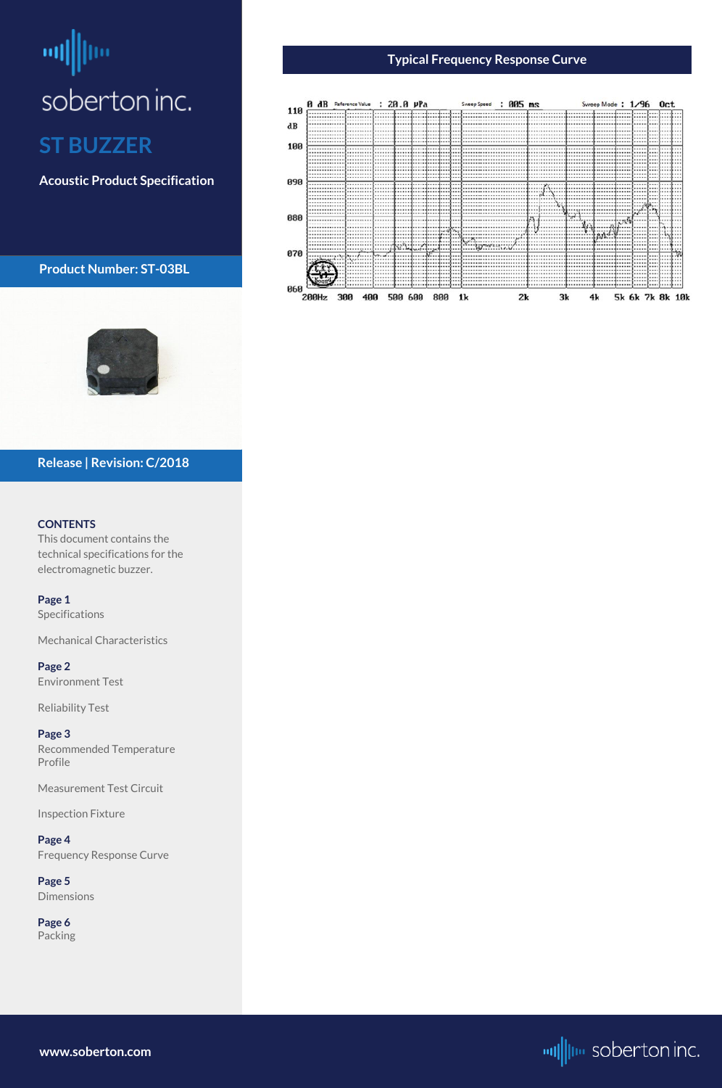# <span id="page-3-0"></span>酬 soberton inc. **ST BUZZER**

**Acoustic Product Specification**

**Product Number: ST-03BL**



### **CONTENTS**

This document contains the technical specifications for the electromagnetic buzzer.

**[Page 1](#page-0-0)** [Specifications](#page-0-0) 

[Mechanical Characteristics](#page-0-0)

**[Page 2](#page-1-0)** [Environment Test](#page-1-0)

[Reliability Test](#page-1-0)

**[Page 3](#page-2-0)** [Recommended Temperature](#page-2-0)  [Profile](#page-2-0)

[Measurement Test Circuit](#page-2-0)

[Inspection Fixture](#page-2-0)

### **Page 4** Frequency Response Curve

**[Page](#page-4-0) 5** [Dimensions](#page-4-0)

**[Page](#page-5-0) 6** [Packing](#page-5-0)

# **Release | Revision: C/2018**

**www.soberton.com**



# **Typical Frequency Response Curve**

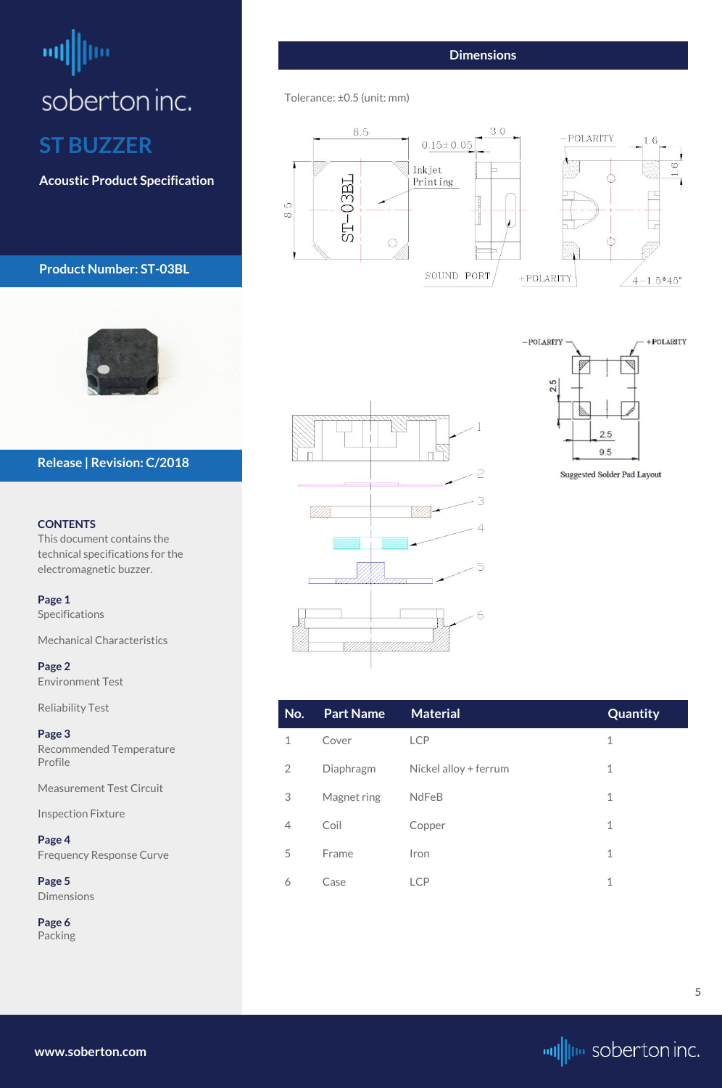# <span id="page-4-0"></span>ᆒ soberton inc. **ST BUZZER**

**Acoustic Product Specification**

# **Product Number: ST-03BL**



### **CONTENTS**

This document contains the technical specifications for the electromagnetic buzzer.

**[Page 1](#page-0-0)** [Specifications](#page-0-0) 

[Mechanical Characteristics](#page-0-0)

**[Page 2](#page-1-0)** [Environment Test](#page-1-0)

| <b>Reliability Test</b>             | No.            | <b>Part Name</b> | <b>Material</b>       | Quantity    |
|-------------------------------------|----------------|------------------|-----------------------|-------------|
| Page 3<br>Recommended Temperature   | $\mathbf 1$    | Cover            | <b>LCP</b>            | $\mathbf 1$ |
| Profile                             | $\overline{2}$ | Diaphragm        | Nickel alloy + ferrum | $\mathbf 1$ |
| <b>Measurement Test Circuit</b>     | $\mathcal{S}$  | Magnet ring      | NdFeB                 | $\mathbf 1$ |
| <b>Inspection Fixture</b><br>Page 4 | $\overline{4}$ | Coil             | Copper                | $\mathbf 1$ |
| <b>Frequency Response Curve</b>     | 5              | Frame            | Iron                  | $\mathbf 1$ |
| Page 5<br><b>Dimensions</b>         | 6              | Case             | <b>LCP</b>            | $\mathbf 1$ |
| Page 6<br>Packing                   |                |                  |                       |             |
|                                     |                |                  |                       |             |

# **Release | Revision: C/2018**

**[www.soberton.com](http://www.soberton.com)**



### **Dimensions**

### Tolerance: ±0.5 (unit: mm)







Suggested Solder Pad Layout